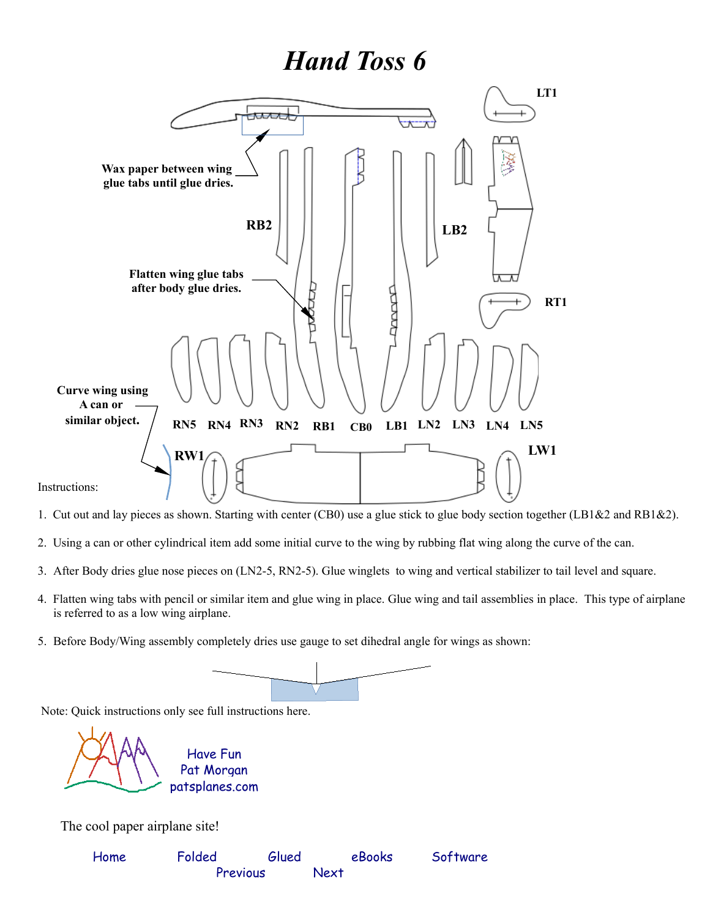## *Hand Toss 6*



- 1. Cut out and lay pieces as shown. Starting with center (CB0) use a glue stick to glue body section together (LB1&2 and RB1&2).
- 2. Using a can or other cylindrical item add some initial curve to the wing by rubbing flat wing along the curve of the can.
- 3. After Body dries glue nose pieces on (LN2-5, RN2-5). Glue winglets to wing and vertical stabilizer to tail level and square.
- 4. Flatten wing tabs with pencil or similar item and glue wing in place. Glue wing and tail assemblies in place. This type of airplane is referred to as a low wing airplane.
- 5. Before Body/Wing assembly completely dries use gauge to set dihedral angle for wings as shown:

Note: Quick instructions only see full instructions here.

[patsplanes.com](http://patsplanes.com/index.html) Pat Morgan Have Fun

The cool paper airplane site!

| Home | Folded   | Glued | eBooks      | Software |
|------|----------|-------|-------------|----------|
|      | Previous |       | <b>Next</b> |          |